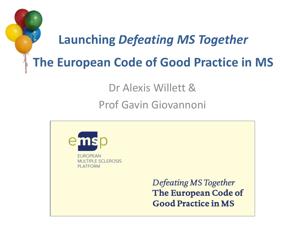

Dr Alexis Willett &

Prof Gavin Giovannoni

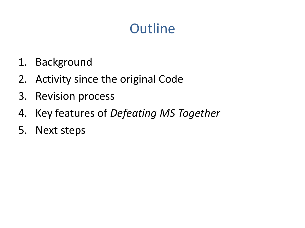## **Outline**

- 1. Background
- 2. Activity since the original Code
- 3. Revision process
- 4. Key features of *Defeating MS Together*
- 5. Next steps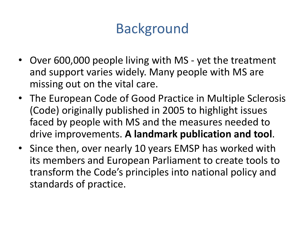## Background

- Over 600,000 people living with MS yet the treatment and support varies widely. Many people with MS are missing out on the vital care.
- The European Code of Good Practice in Multiple Sclerosis (Code) originally published in 2005 to highlight issues faced by people with MS and the measures needed to drive improvements. **A landmark publication and tool**.
- Since then, over nearly 10 years EMSP has worked with its members and European Parliament to create tools to transform the Code's principles into national policy and standards of practice.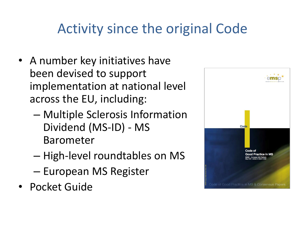## Activity since the original Code

- A number key initiatives have been devised to support implementation at national level across the EU, including:
	- Multiple Sclerosis Information Dividend (MS-ID) - MS Barometer
	- High-level roundtables on MS
	- European MS Register
- Pocket Guide

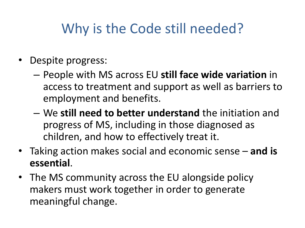## Why is the Code still needed?

- Despite progress:
	- People with MS across EU **still face wide variation** in access to treatment and support as well as barriers to employment and benefits.
	- We **still need to better understand** the initiation and progress of MS, including in those diagnosed as children, and how to effectively treat it.
- Taking action makes social and economic sense **and is essential**.
- The MS community across the EU alongside policy makers must work together in order to generate meaningful change.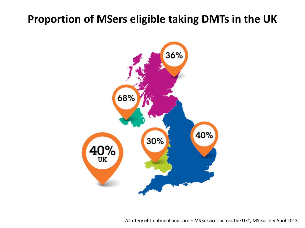#### **Proportion of MSers eligible taking DMTs in the UK**



"A lottery of treatment and care – MS services across the UK"; MS Society April 2013.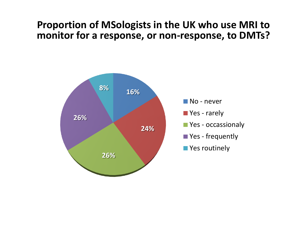#### **Proportion of MSologists in the UK who use MRI to monitor for a response, or non-response, to DMTs?**

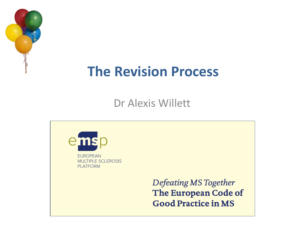

#### **The Revision Process**

Dr Alexis Willett

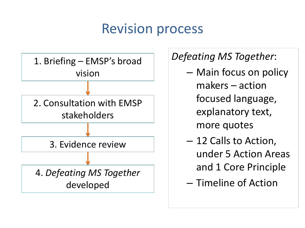#### Revision process



#### *Defeating MS Together*:

- Main focus on policy makers – action focused language, explanatory text, more quotes
- 12 Calls to Action, under 5 Action Areas and 1 Core Principle
- Timeline of Action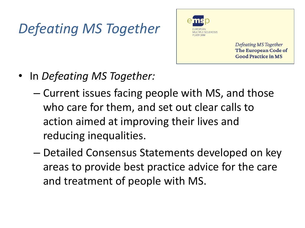# *Defeating MS Together*



- In *Defeating MS Together:*
	- Current issues facing people with MS, and those who care for them, and set out clear calls to action aimed at improving their lives and reducing inequalities.
	- Detailed Consensus Statements developed on key areas to provide best practice advice for the care and treatment of people with MS.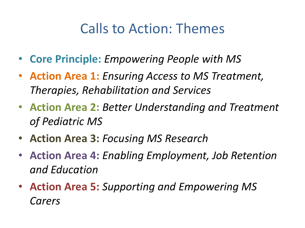#### Calls to Action: Themes

- **Core Principle:** *Empowering People with MS*
- **Action Area 1:** *Ensuring Access to MS Treatment, Therapies, Rehabilitation and Services*
- **Action Area 2:** *Better Understanding and Treatment of Pediatric MS*
- **Action Area 3:** *Focusing MS Research*
- **Action Area 4:** *Enabling Employment, Job Retention and Education*
- **Action Area 5:** *Supporting and Empowering MS Carers*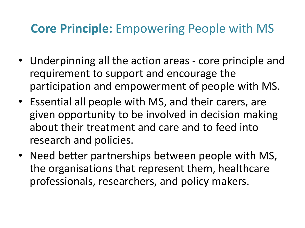#### **Core Principle:** Empowering People with MS

- Underpinning all the action areas core principle and requirement to support and encourage the participation and empowerment of people with MS.
- Essential all people with MS, and their carers, are given opportunity to be involved in decision making about their treatment and care and to feed into research and policies.
- Need better partnerships between people with MS, the organisations that represent them, healthcare professionals, researchers, and policy makers.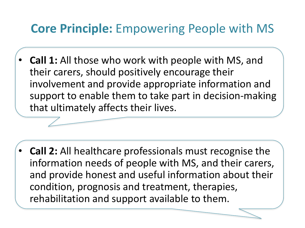#### **Core Principle:** Empowering People with MS

• **Call 1:** All those who work with people with MS, and their carers, should positively encourage their involvement and provide appropriate information and support to enable them to take part in decision-making that ultimately affects their lives.

• **Call 2:** All healthcare professionals must recognise the information needs of people with MS, and their carers, and provide honest and useful information about their condition, prognosis and treatment, therapies, rehabilitation and support available to them.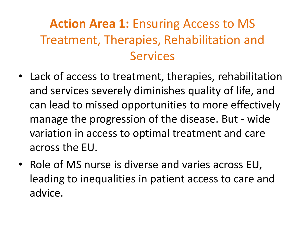#### **Action Area 1:** Ensuring Access to MS Treatment, Therapies, Rehabilitation and Services

- Lack of access to treatment, therapies, rehabilitation and services severely diminishes quality of life, and can lead to missed opportunities to more effectively manage the progression of the disease. But - wide variation in access to optimal treatment and care across the EU.
- Role of MS nurse is diverse and varies across EU, leading to inequalities in patient access to care and advice.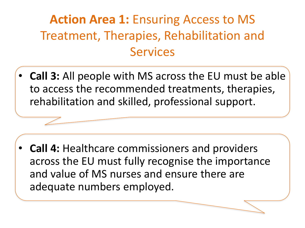#### **Action Area 1: Ensuring Access to MS** Treatment, Therapies, Rehabilitation and Services

• **Call 3:** All people with MS across the EU must be able to access the recommended treatments, therapies, rehabilitation and skilled, professional support.

• **Call 4:** Healthcare commissioners and providers across the EU must fully recognise the importance and value of MS nurses and ensure there are adequate numbers employed.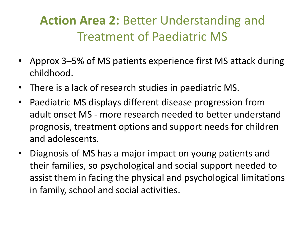#### **Action Area 2:** Better Understanding and Treatment of Paediatric MS

- Approx 3–5% of MS patients experience first MS attack during childhood.
- There is a lack of research studies in paediatric MS.
- Paediatric MS displays different disease progression from adult onset MS - more research needed to better understand prognosis, treatment options and support needs for children and adolescents.
- Diagnosis of MS has a major impact on young patients and their families, so psychological and social support needed to assist them in facing the physical and psychological limitations in family, school and social activities.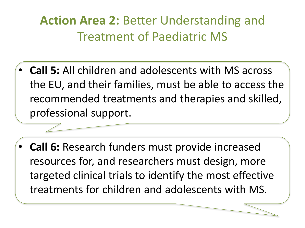#### **Action Area 2:** Better Understanding and Treatment of Paediatric MS

- **Call 5:** All children and adolescents with MS across the EU, and their families, must be able to access the recommended treatments and therapies and skilled, professional support.
- **Call 6:** Research funders must provide increased resources for, and researchers must design, more targeted clinical trials to identify the most effective treatments for children and adolescents with MS.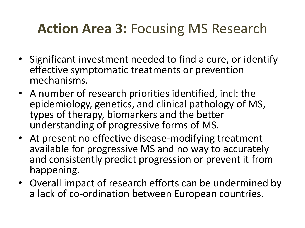### **Action Area 3:** Focusing MS Research

- Significant investment needed to find a cure, or identify effective symptomatic treatments or prevention mechanisms.
- A number of research priorities identified, incl: the epidemiology, genetics, and clinical pathology of MS, types of therapy, biomarkers and the better understanding of progressive forms of MS.
- At present no effective disease-modifying treatment available for progressive MS and no way to accurately and consistently predict progression or prevent it from happening.
- Overall impact of research efforts can be undermined by a lack of co-ordination between European countries.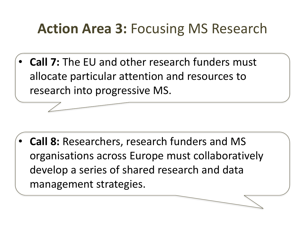## **Action Area 3:** Focusing MS Research

• **Call 7:** The EU and other research funders must allocate particular attention and resources to research into progressive MS.

• **Call 8:** Researchers, research funders and MS organisations across Europe must collaboratively develop a series of shared research and data management strategies.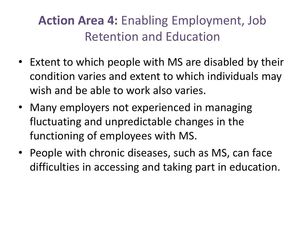#### **Action Area 4:** Enabling Employment, Job Retention and Education

- Extent to which people with MS are disabled by their condition varies and extent to which individuals may wish and be able to work also varies.
- Many employers not experienced in managing fluctuating and unpredictable changes in the functioning of employees with MS.
- People with chronic diseases, such as MS, can face difficulties in accessing and taking part in education.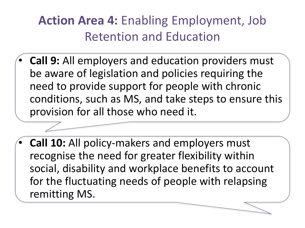#### **Action Area 4:** Enabling Employment, Job Retention and Education

- **Call 9:** All employers and education providers must be aware of legislation and policies requiring the need to provide support for people with chronic conditions, such as MS, and take steps to ensure this provision for all those who need it.
- **Call 10:** All policy-makers and employers must recognise the need for greater flexibility within social, disability and workplace benefits to account for the fluctuating needs of people with relapsing remitting MS.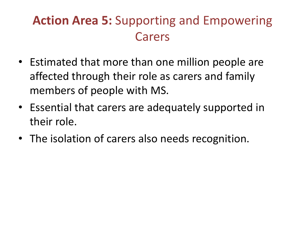#### **Action Area 5:** Supporting and Empowering Carers

- Estimated that more than one million people are affected through their role as carers and family members of people with MS.
- Essential that carers are adequately supported in their role.
- The isolation of carers also needs recognition.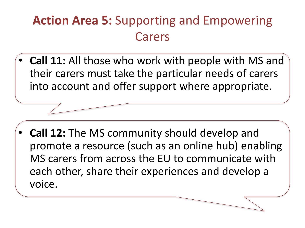#### **Action Area 5:** Supporting and Empowering Carers

• **Call 11:** All those who work with people with MS and their carers must take the particular needs of carers into account and offer support where appropriate.

• **Call 12:** The MS community should develop and promote a resource (such as an online hub) enabling MS carers from across the EU to communicate with each other, share their experiences and develop a voice.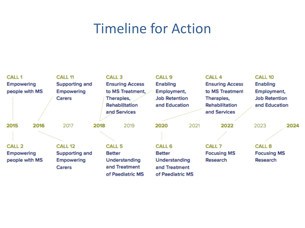#### Timeline for Action

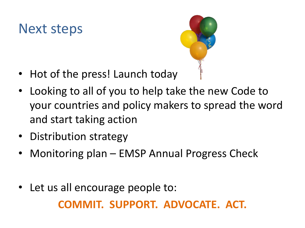#### Next steps



- Hot of the press! Launch today
- Looking to all of you to help take the new Code to your countries and policy makers to spread the word and start taking action
- Distribution strategy
- Monitoring plan EMSP Annual Progress Check
- Let us all encourage people to: **COMMIT. SUPPORT. ADVOCATE. ACT.**